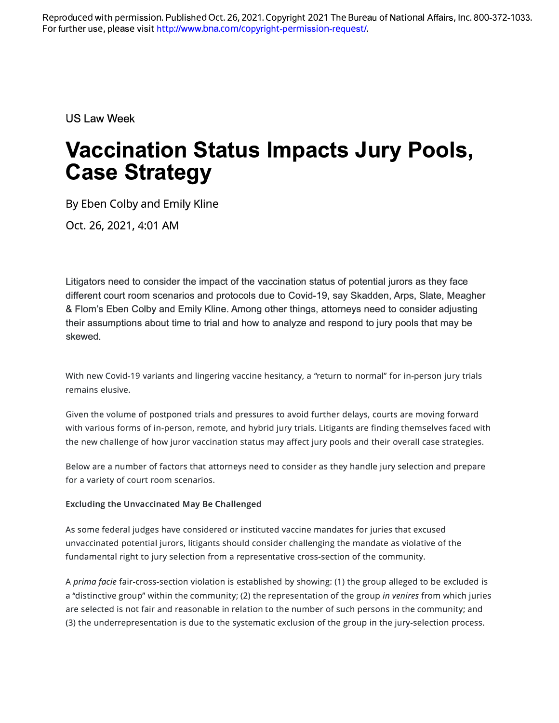For further use, please visit http://[www.bna.com](http://www.bna.com/copyright-permission-request/)/copyright-permission-request/. Reproduced with permission. Published Oct. 26, 2021. Copyright 2021 The Bureau of National Affairs, Inc. 800-372-1033.

US Law Week

# **Vaccination Status Impacts Jury Pools, Case Strategy**

By Eben Colby and Emily Kline

Oct. 26, 2021, 4:01 AM

Litigators need to consider the impact of the vaccination status of potential jurors as they face different court room scenarios and protocols due to Covid-19, say Skadden, Arps, Slate, Meagher & Flam's Eben Colby and Emily Kline. Among other things, attorneys need to consider adjusting their assumptions about time to trial and how to analyze and respond to jury pools that may be skewed.

With new Covid-19 variants and lingering vaccine hesitancy, a "return to normal" for in-person jury trials remains elusive.

Given the volume of postponed trials and pressures to avoid further delays, courts are moving forward with various forms of in-person, remote, and hybrid jury trials. Litigants are finding themselves faced with the new challenge of how juror vaccination status may affect jury pools and their overall case strategies.

Below are a number of factors that attorneys need to consider as they handle jury selection and prepare for a variety of court room scenarios.

## **Excluding the Unvaccinated May Be Challenged**

As some federal judges have considered or instituted vaccine mandates for juries that excused unvaccinated potential jurors, litigants should consider challenging the mandate as violative of the fundamental right to jury selection from a representative cross-section of the community.

A *prima facie* fair-cross-section violation is established by showing: (1) the group alleged to be excluded is a "distinctive group" within the community; (2) the representation of the group *in venires* from which juries are selected is not fair and reasonable in relation to the number of such persons in the community; and (3) the underrepresentation is due to the systematic exclusion of the group in the jury-selection process.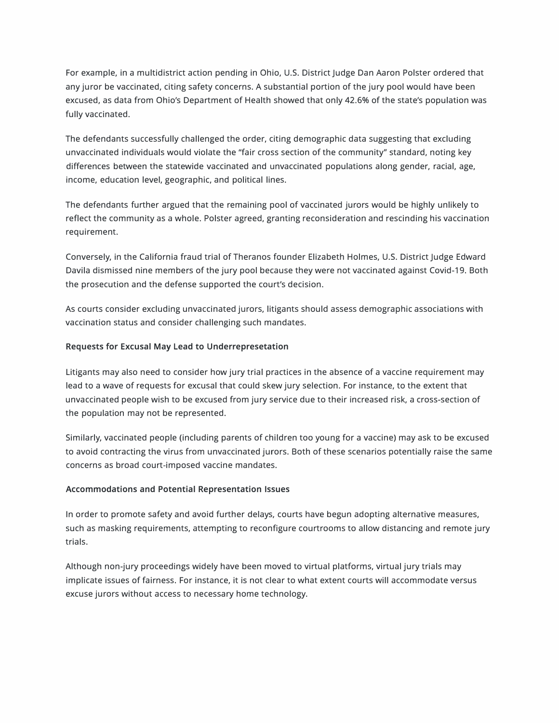For example, in a multidistrict action pending in Ohio, U.S. District Judge Dan Aaron Polster ordered that any juror be vaccinated, citing safety concerns. A substantial portion of the jury pool would have been excused, as data from Ohio's Department of Health showed that only 42.6% of the state's population was fully vaccinated.

The defendants successfully challenged the order, citing demographic data suggesting that excluding unvaccinated individuals would violate the "fair cross section of the community" standard, noting key differences between the statewide vaccinated and unvaccinated populations along gender, racial, age, income, education level, geographic, and political lines.

The defendants further argued that the remaining pool of vaccinated jurors would be highly unlikely to reflect the community as a whole. Polster agreed, granting reconsideration and rescinding his vaccination requirement.

Conversely, in the California fraud trial of Theranos founder Elizabeth Holmes, U.S. District Judge Edward Davila dismissed nine members of the jury pool because they were not vaccinated against Covid-19. Both the prosecution and the defense supported the court's decision.

As courts consider excluding unvaccinated jurors, litigants should assess demographic associations with vaccination status and consider challenging such mandates.

### **Requests for Excusal May Lead to Underrepresetation**

Litigants may also need to consider how jury trial practices in the absence of a vaccine requirement may lead to a wave of requests for excusal that could skew jury selection. For instance, to the extent that unvaccinated people wish to be excused from jury service due to their increased risk, a cross-section of the population may not be represented.

Similarly, vaccinated people (including parents of children too young for a vaccine) may ask to be excused to avoid contracting the virus from unvaccinated jurors. Both of these scenarios potentially raise the same concerns as broad court-imposed vaccine mandates.

#### **Accommodations and Potential Representation Issues**

In order to promote safety and avoid further delays, courts have begun adopting alternative measures, such as masking requirements, attempting to reconfigure courtrooms to allow distancing and remote jury trials.

Although non-jury proceedings widely have been moved to virtual platforms, virtual jury trials may implicate issues of fairness. For instance, it is not clear to what extent courts will accommodate versus excuse jurors without access to necessary home technology.